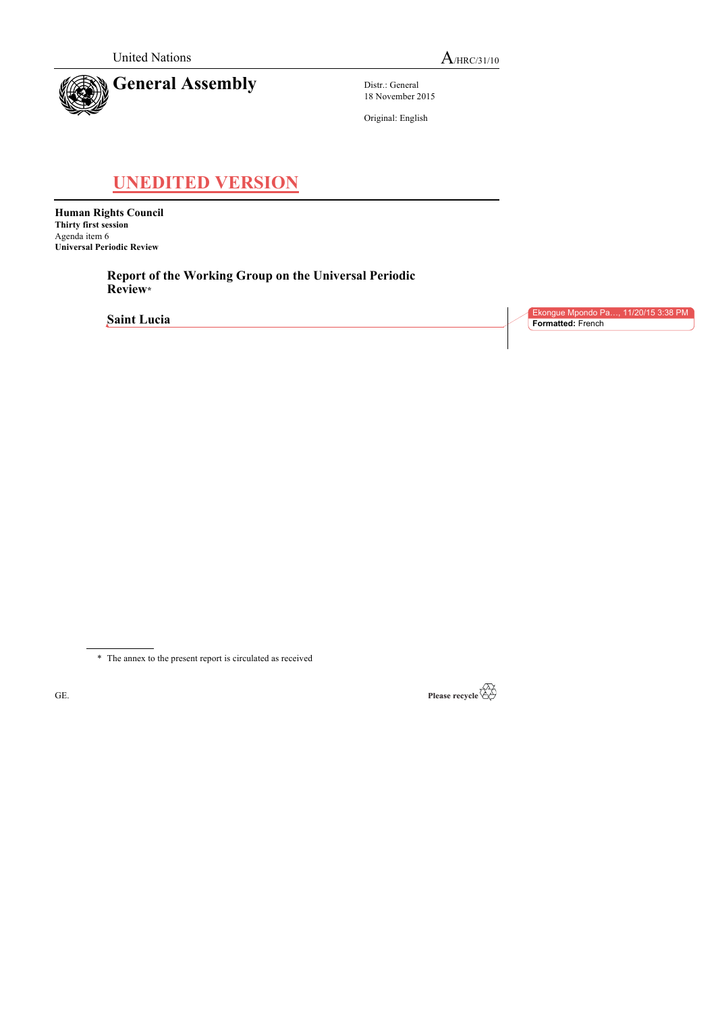

Distr.: General 18 November 2015

Original: English

# **UNEDITED VERSION**

**Human Rights Council Thirty first session** Agenda item 6 **Universal Periodic Review**

> **Report of the Working Group on the Universal Periodic Review\***

**Saint Lucia**

Ekongue Mpondo Pa..., 11/20/15 3:38 P **Formatted:** French

\* The annex to the present report is circulated as received

GE.

Please recycle  $\overline{\mathbb{Q}}$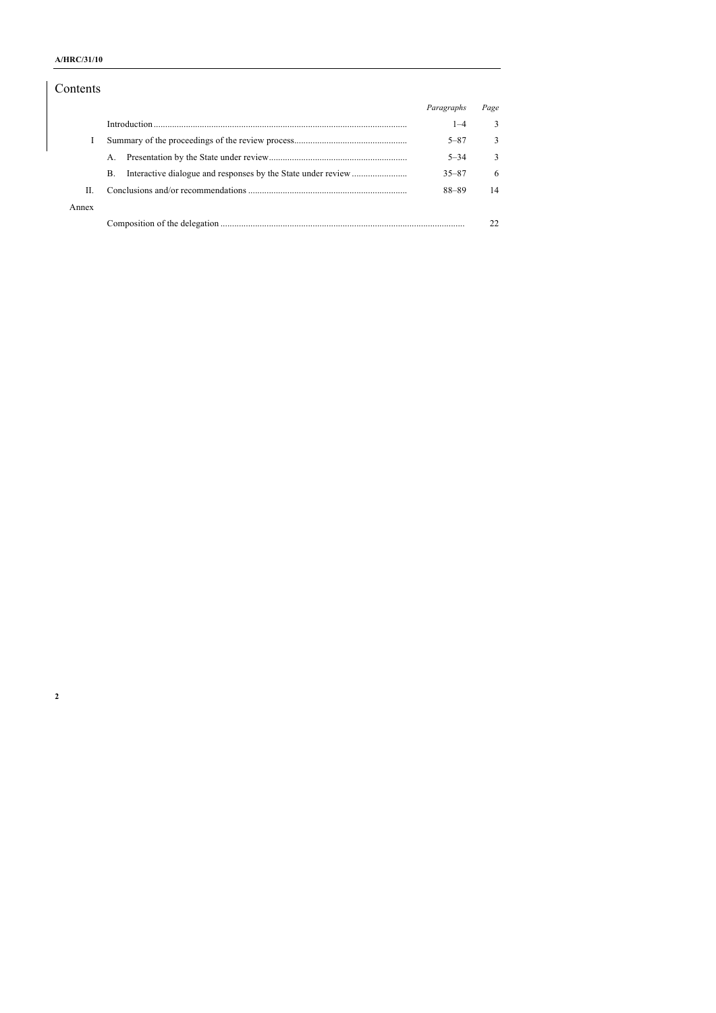## **A/HRC/31/10**

## Contents

|       |         | Paragraphs | Page |
|-------|---------|------------|------|
|       |         | $1 - 4$    | 3    |
|       |         | $5 - 87$   | 3    |
|       | $A_{-}$ | $5 - 34$   | 3    |
|       | B.      | $35 - 87$  | 6    |
| H.    |         | 88-89      | 14   |
| Annex |         |            |      |
|       |         |            |      |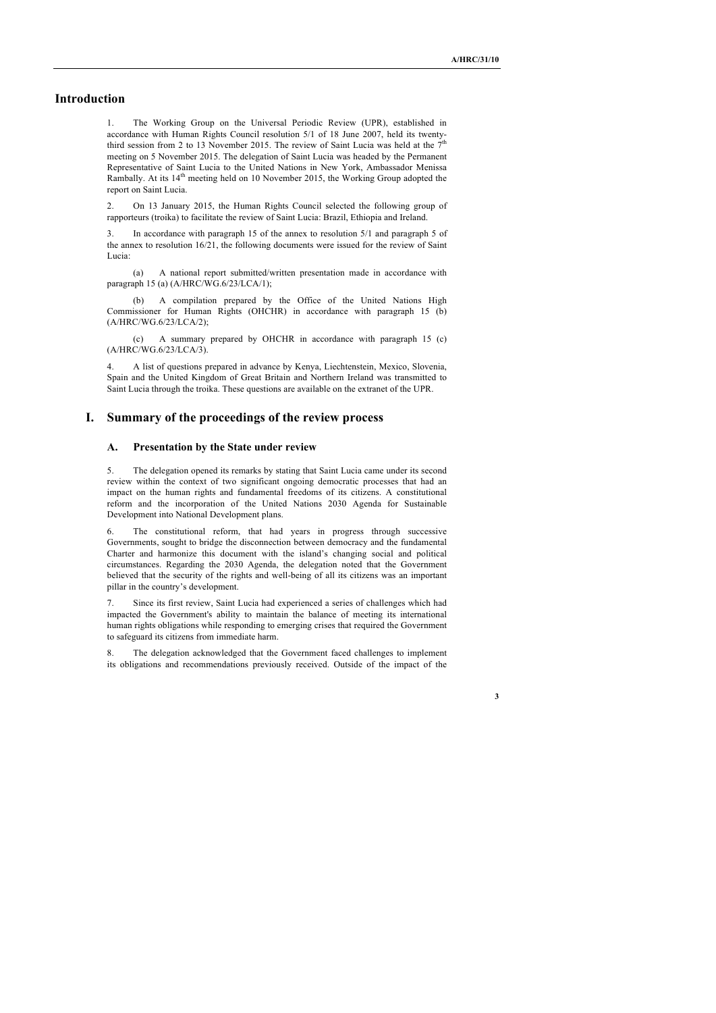## **Introduction**

1. The Working Group on the Universal Periodic Review (UPR), established in accordance with Human Rights Council resolution 5/1 of 18 June 2007, held its twentythird session from 2 to 13 November 2015. The review of Saint Lucia was held at the  $7<sup>th</sup>$ meeting on 5 November 2015. The delegation of Saint Lucia was headed by the Permanent Representative of Saint Lucia to the United Nations in New York, Ambassador Menissa Rambally. At its 14<sup>th</sup> meeting held on 10 November 2015, the Working Group adopted the report on Saint Lucia.

2. On 13 January 2015, the Human Rights Council selected the following group of rapporteurs (troika) to facilitate the review of Saint Lucia: Brazil, Ethiopia and Ireland.

In accordance with paragraph 15 of the annex to resolution 5/1 and paragraph 5 of the annex to resolution 16/21, the following documents were issued for the review of Saint Lucia:

(a) A national report submitted/written presentation made in accordance with paragraph 15 (a) (A/HRC/WG.6/23/LCA/1);

(b) A compilation prepared by the Office of the United Nations High Commissioner for Human Rights (OHCHR) in accordance with paragraph 15 (b) (A/HRC/WG.6/23/LCA/2);

(c) A summary prepared by OHCHR in accordance with paragraph 15 (c) (A/HRC/WG.6/23/LCA/3).

4. A list of questions prepared in advance by Kenya, Liechtenstein, Mexico, Slovenia, Spain and the United Kingdom of Great Britain and Northern Ireland was transmitted to Saint Lucia through the troika. These questions are available on the extranet of the UPR.

### **I. Summary of the proceedings of the review process**

#### **A. Presentation by the State under review**

5. The delegation opened its remarks by stating that Saint Lucia came under its second review within the context of two significant ongoing democratic processes that had an impact on the human rights and fundamental freedoms of its citizens. A constitutional reform and the incorporation of the United Nations 2030 Agenda for Sustainable Development into National Development plans.

6. The constitutional reform, that had years in progress through successive Governments, sought to bridge the disconnection between democracy and the fundamental Charter and harmonize this document with the island's changing social and political circumstances. Regarding the 2030 Agenda, the delegation noted that the Government believed that the security of the rights and well-being of all its citizens was an important pillar in the country's development.

7. Since its first review, Saint Lucia had experienced a series of challenges which had impacted the Government's ability to maintain the balance of meeting its international human rights obligations while responding to emerging crises that required the Government to safeguard its citizens from immediate harm.

8. The delegation acknowledged that the Government faced challenges to implement its obligations and recommendations previously received. Outside of the impact of the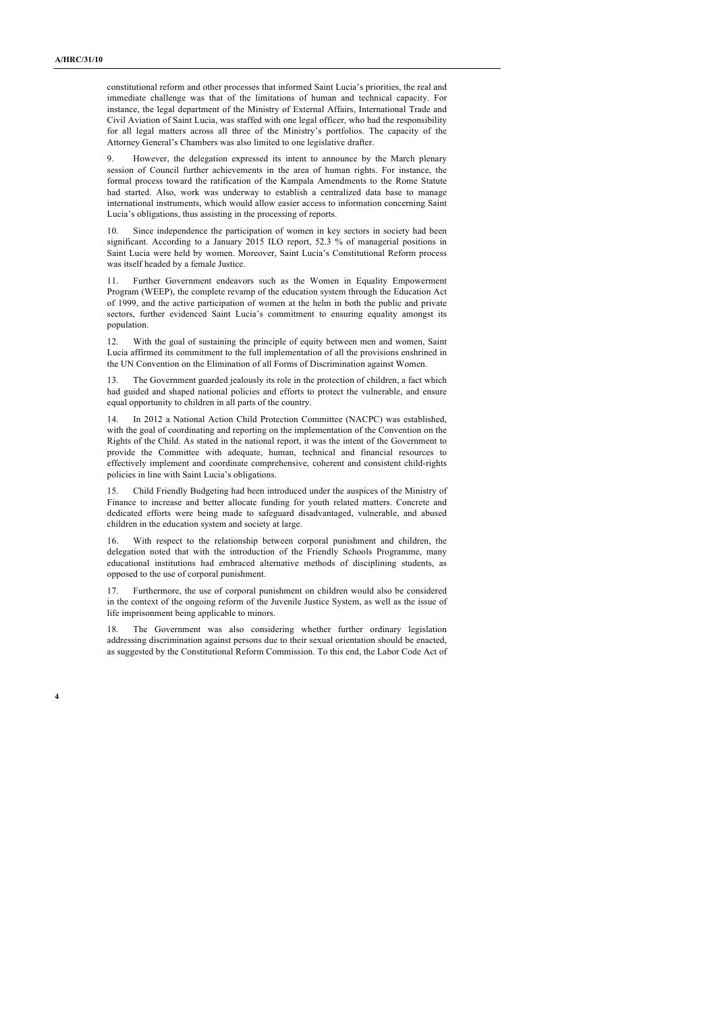constitutional reform and other processes that informed Saint Lucia's priorities, the real and immediate challenge was that of the limitations of human and technical capacity. For instance, the legal department of the Ministry of External Affairs, International Trade and Civil Aviation of Saint Lucia, was staffed with one legal officer, who had the responsibility for all legal matters across all three of the Ministry's portfolios. The capacity of the Attorney General's Chambers was also limited to one legislative drafter.

9. However, the delegation expressed its intent to announce by the March plenary session of Council further achievements in the area of human rights. For instance, the formal process toward the ratification of the Kampala Amendments to the Rome Statute had started. Also, work was underway to establish a centralized data base to manage international instruments, which would allow easier access to information concerning Saint Lucia's obligations, thus assisting in the processing of reports.

10. Since independence the participation of women in key sectors in society had been significant. According to a January 2015 ILO report, 52.3 % of managerial positions in Saint Lucia were held by women. Moreover, Saint Lucia's Constitutional Reform process was itself headed by a female Justice.

11. Further Government endeavors such as the Women in Equality Empowerment Program (WEEP), the complete revamp of the education system through the Education Act of 1999, and the active participation of women at the helm in both the public and private sectors, further evidenced Saint Lucia's commitment to ensuring equality amongst its population.

12. With the goal of sustaining the principle of equity between men and women, Saint Lucia affirmed its commitment to the full implementation of all the provisions enshrined in the UN Convention on the Elimination of all Forms of Discrimination against Women.

13. The Government guarded jealously its role in the protection of children, a fact which had guided and shaped national policies and efforts to protect the vulnerable, and ensure equal opportunity to children in all parts of the country.

14. In 2012 a National Action Child Protection Committee (NACPC) was established, with the goal of coordinating and reporting on the implementation of the Convention on the Rights of the Child. As stated in the national report, it was the intent of the Government to provide the Committee with adequate, human, technical and financial resources to effectively implement and coordinate comprehensive, coherent and consistent child-rights policies in line with Saint Lucia's obligations.

15. Child Friendly Budgeting had been introduced under the auspices of the Ministry of Finance to increase and better allocate funding for youth related matters. Concrete and dedicated efforts were being made to safeguard disadvantaged, vulnerable, and abused children in the education system and society at large.

16. With respect to the relationship between corporal punishment and children, the delegation noted that with the introduction of the Friendly Schools Programme, many educational institutions had embraced alternative methods of disciplining students, as opposed to the use of corporal punishment.

17. Furthermore, the use of corporal punishment on children would also be considered in the context of the ongoing reform of the Juvenile Justice System, as well as the issue of life imprisonment being applicable to minors.

18. The Government was also considering whether further ordinary legislation addressing discrimination against persons due to their sexual orientation should be enacted, as suggested by the Constitutional Reform Commission. To this end, the Labor Code Act of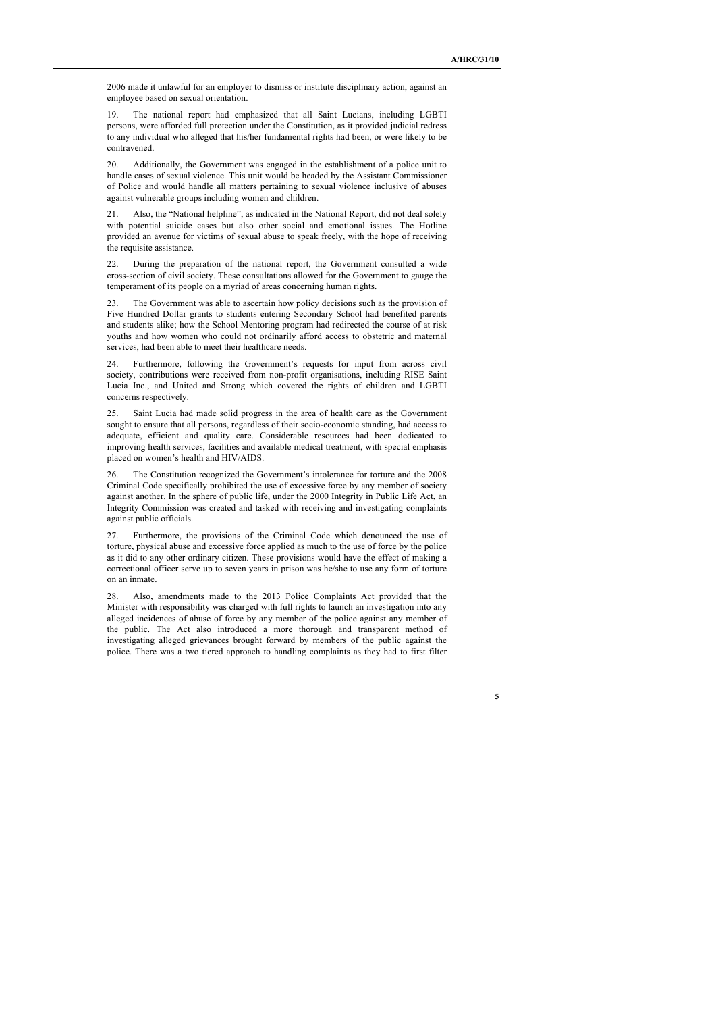2006 made it unlawful for an employer to dismiss or institute disciplinary action, against an employee based on sexual orientation.

19. The national report had emphasized that all Saint Lucians, including LGBTI persons, were afforded full protection under the Constitution, as it provided judicial redress to any individual who alleged that his/her fundamental rights had been, or were likely to be contravened.

20. Additionally, the Government was engaged in the establishment of a police unit to handle cases of sexual violence. This unit would be headed by the Assistant Commissioner of Police and would handle all matters pertaining to sexual violence inclusive of abuses against vulnerable groups including women and children.

21. Also, the "National helpline", as indicated in the National Report, did not deal solely with potential suicide cases but also other social and emotional issues. The Hotline provided an avenue for victims of sexual abuse to speak freely, with the hope of receiving the requisite assistance.

22. During the preparation of the national report, the Government consulted a wide cross-section of civil society. These consultations allowed for the Government to gauge the temperament of its people on a myriad of areas concerning human rights.

23. The Government was able to ascertain how policy decisions such as the provision of Five Hundred Dollar grants to students entering Secondary School had benefited parents and students alike; how the School Mentoring program had redirected the course of at risk youths and how women who could not ordinarily afford access to obstetric and maternal services, had been able to meet their healthcare needs.

24. Furthermore, following the Government's requests for input from across civil society, contributions were received from non-profit organisations, including RISE Saint Lucia Inc., and United and Strong which covered the rights of children and LGBTI concerns respectively.

25. Saint Lucia had made solid progress in the area of health care as the Government sought to ensure that all persons, regardless of their socio-economic standing, had access to adequate, efficient and quality care. Considerable resources had been dedicated to improving health services, facilities and available medical treatment, with special emphasis placed on women's health and HIV/AIDS.

26. The Constitution recognized the Government's intolerance for torture and the 2008 Criminal Code specifically prohibited the use of excessive force by any member of society against another. In the sphere of public life, under the 2000 Integrity in Public Life Act, an Integrity Commission was created and tasked with receiving and investigating complaints against public officials.

27. Furthermore, the provisions of the Criminal Code which denounced the use of torture, physical abuse and excessive force applied as much to the use of force by the police as it did to any other ordinary citizen. These provisions would have the effect of making a correctional officer serve up to seven years in prison was he/she to use any form of torture on an inmate.

28. Also, amendments made to the 2013 Police Complaints Act provided that the Minister with responsibility was charged with full rights to launch an investigation into any alleged incidences of abuse of force by any member of the police against any member of the public. The Act also introduced a more thorough and transparent method of investigating alleged grievances brought forward by members of the public against the police. There was a two tiered approach to handling complaints as they had to first filter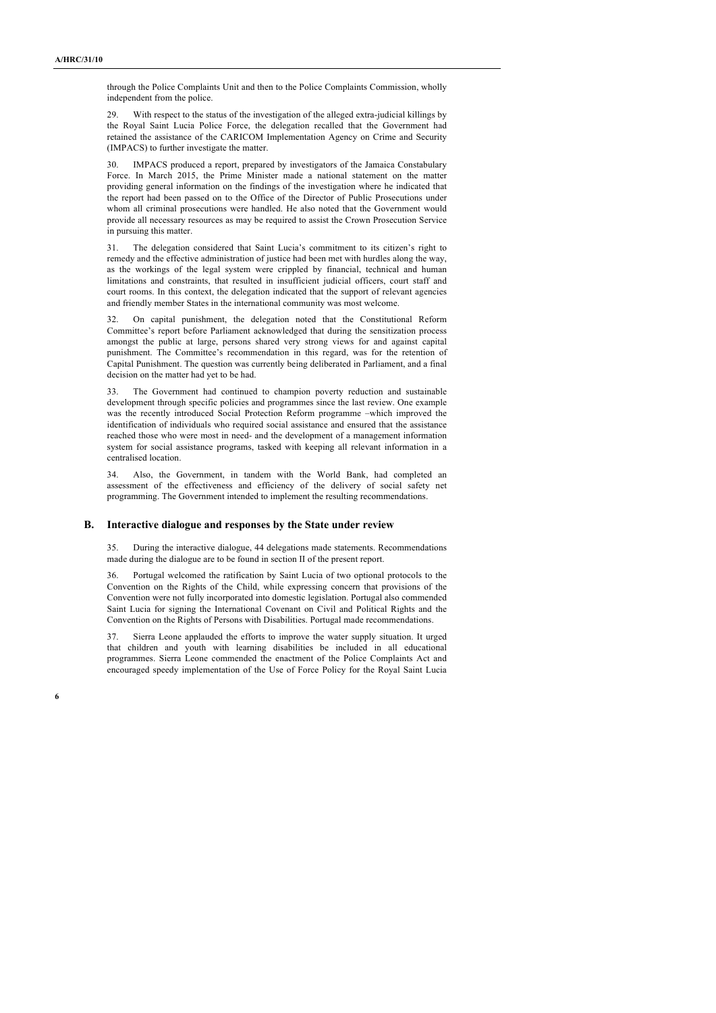through the Police Complaints Unit and then to the Police Complaints Commission, wholly independent from the police.

29. With respect to the status of the investigation of the alleged extra-judicial killings by the Royal Saint Lucia Police Force, the delegation recalled that the Government had retained the assistance of the CARICOM Implementation Agency on Crime and Security (IMPACS) to further investigate the matter.

30. IMPACS produced a report, prepared by investigators of the Jamaica Constabulary Force. In March 2015, the Prime Minister made a national statement on the matter providing general information on the findings of the investigation where he indicated that the report had been passed on to the Office of the Director of Public Prosecutions under whom all criminal prosecutions were handled. He also noted that the Government would provide all necessary resources as may be required to assist the Crown Prosecution Service in pursuing this matter.

31. The delegation considered that Saint Lucia's commitment to its citizen's right to remedy and the effective administration of justice had been met with hurdles along the way, as the workings of the legal system were crippled by financial, technical and human limitations and constraints, that resulted in insufficient judicial officers, court staff and court rooms. In this context, the delegation indicated that the support of relevant agencies and friendly member States in the international community was most welcome.

32. On capital punishment, the delegation noted that the Constitutional Reform Committee's report before Parliament acknowledged that during the sensitization process amongst the public at large, persons shared very strong views for and against capital punishment. The Committee's recommendation in this regard, was for the retention of Capital Punishment. The question was currently being deliberated in Parliament, and a final decision on the matter had yet to be had.

The Government had continued to champion poverty reduction and sustainable development through specific policies and programmes since the last review. One example was the recently introduced Social Protection Reform programme –which improved the identification of individuals who required social assistance and ensured that the assistance reached those who were most in need- and the development of a management information system for social assistance programs, tasked with keeping all relevant information in a centralised location.

34. Also, the Government, in tandem with the World Bank, had completed an assessment of the effectiveness and efficiency of the delivery of social safety net programming. The Government intended to implement the resulting recommendations.

#### **B. Interactive dialogue and responses by the State under review**

35. During the interactive dialogue, 44 delegations made statements. Recommendations made during the dialogue are to be found in section II of the present report.

36. Portugal welcomed the ratification by Saint Lucia of two optional protocols to the Convention on the Rights of the Child, while expressing concern that provisions of the Convention were not fully incorporated into domestic legislation. Portugal also commended Saint Lucia for signing the International Covenant on Civil and Political Rights and the Convention on the Rights of Persons with Disabilities. Portugal made recommendations.

37. Sierra Leone applauded the efforts to improve the water supply situation. It urged that children and youth with learning disabilities be included in all educational programmes. Sierra Leone commended the enactment of the Police Complaints Act and encouraged speedy implementation of the Use of Force Policy for the Royal Saint Lucia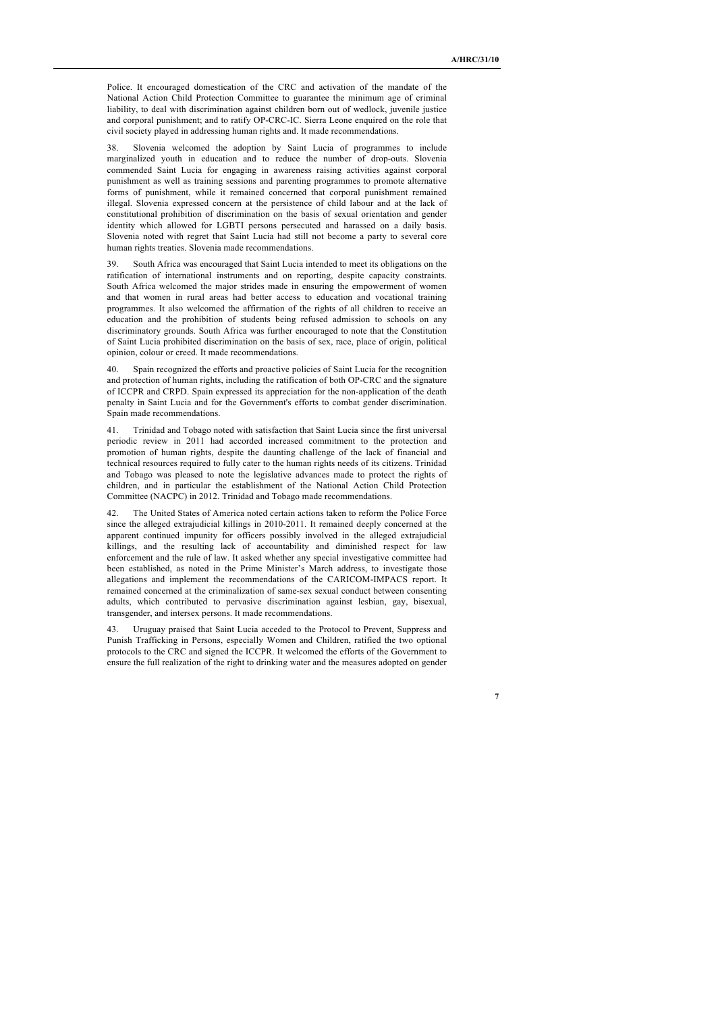Police. It encouraged domestication of the CRC and activation of the mandate of the National Action Child Protection Committee to guarantee the minimum age of criminal liability, to deal with discrimination against children born out of wedlock, juvenile justice and corporal punishment; and to ratify OP-CRC-IC. Sierra Leone enquired on the role that civil society played in addressing human rights and. It made recommendations.

38. Slovenia welcomed the adoption by Saint Lucia of programmes to include marginalized youth in education and to reduce the number of drop-outs. Slovenia commended Saint Lucia for engaging in awareness raising activities against corporal punishment as well as training sessions and parenting programmes to promote alternative forms of punishment, while it remained concerned that corporal punishment remained illegal. Slovenia expressed concern at the persistence of child labour and at the lack of constitutional prohibition of discrimination on the basis of sexual orientation and gender identity which allowed for LGBTI persons persecuted and harassed on a daily basis. Slovenia noted with regret that Saint Lucia had still not become a party to several core human rights treaties. Slovenia made recommendations.

39. South Africa was encouraged that Saint Lucia intended to meet its obligations on the ratification of international instruments and on reporting, despite capacity constraints. South Africa welcomed the major strides made in ensuring the empowerment of women and that women in rural areas had better access to education and vocational training programmes. It also welcomed the affirmation of the rights of all children to receive an education and the prohibition of students being refused admission to schools on any discriminatory grounds. South Africa was further encouraged to note that the Constitution of Saint Lucia prohibited discrimination on the basis of sex, race, place of origin, political opinion, colour or creed. It made recommendations.

40. Spain recognized the efforts and proactive policies of Saint Lucia for the recognition and protection of human rights, including the ratification of both OP-CRC and the signature of ICCPR and CRPD. Spain expressed its appreciation for the non-application of the death penalty in Saint Lucia and for the Government's efforts to combat gender discrimination. Spain made recommendations.

41. Trinidad and Tobago noted with satisfaction that Saint Lucia since the first universal periodic review in 2011 had accorded increased commitment to the protection and promotion of human rights, despite the daunting challenge of the lack of financial and technical resources required to fully cater to the human rights needs of its citizens. Trinidad and Tobago was pleased to note the legislative advances made to protect the rights of children, and in particular the establishment of the National Action Child Protection Committee (NACPC) in 2012. Trinidad and Tobago made recommendations.

The United States of America noted certain actions taken to reform the Police Force since the alleged extrajudicial killings in 2010-2011. It remained deeply concerned at the apparent continued impunity for officers possibly involved in the alleged extrajudicial killings, and the resulting lack of accountability and diminished respect for law enforcement and the rule of law. It asked whether any special investigative committee had been established, as noted in the Prime Minister's March address, to investigate those allegations and implement the recommendations of the CARICOM-IMPACS report. It remained concerned at the criminalization of same-sex sexual conduct between consenting adults, which contributed to pervasive discrimination against lesbian, gay, bisexual, transgender, and intersex persons. It made recommendations.

43. Uruguay praised that Saint Lucia acceded to the Protocol to Prevent, Suppress and Punish Trafficking in Persons, especially Women and Children, ratified the two optional protocols to the CRC and signed the ICCPR. It welcomed the efforts of the Government to ensure the full realization of the right to drinking water and the measures adopted on gender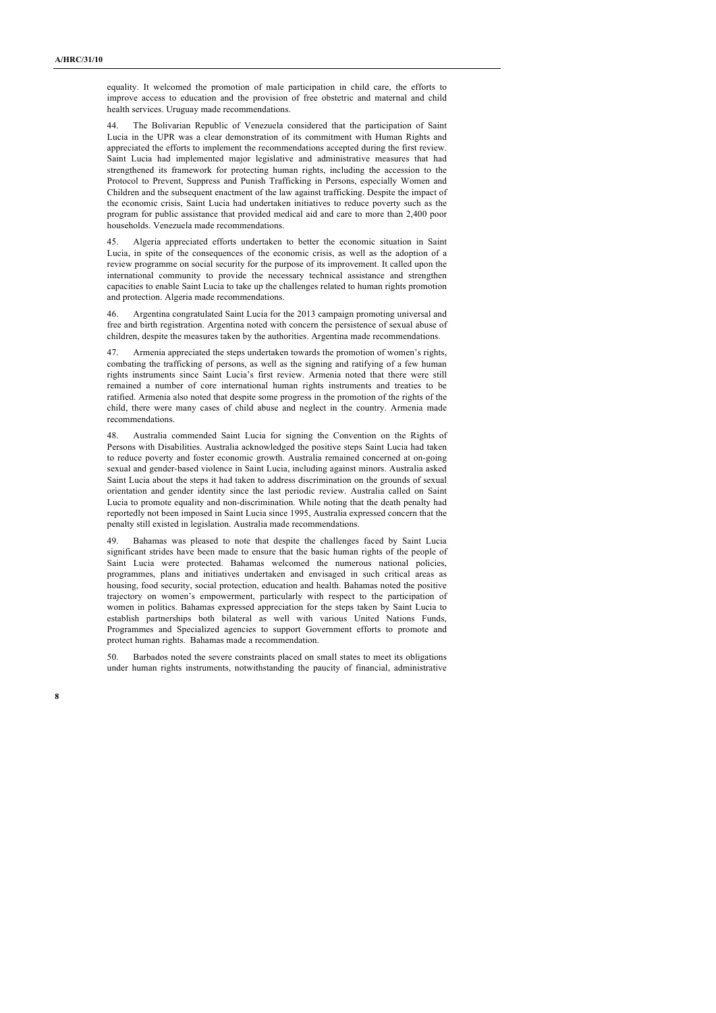equality. It welcomed the promotion of male participation in child care, the efforts to improve access to education and the provision of free obstetric and maternal and child health services. Uruguay made recommendations.

44. The Bolivarian Republic of Venezuela considered that the participation of Saint Lucia in the UPR was a clear demonstration of its commitment with Human Rights and appreciated the efforts to implement the recommendations accepted during the first review. Saint Lucia had implemented major legislative and administrative measures that had strengthened its framework for protecting human rights, including the accession to the Protocol to Prevent, Suppress and Punish Trafficking in Persons, especially Women and Children and the subsequent enactment of the law against trafficking. Despite the impact of the economic crisis, Saint Lucia had undertaken initiatives to reduce poverty such as the program for public assistance that provided medical aid and care to more than 2,400 poor households. Venezuela made recommendations.

Algeria appreciated efforts undertaken to better the economic situation in Saint Lucia, in spite of the consequences of the economic crisis, as well as the adoption of a review programme on social security for the purpose of its improvement. It called upon the international community to provide the necessary technical assistance and strengthen capacities to enable Saint Lucia to take up the challenges related to human rights promotion and protection. Algeria made recommendations.

46. Argentina congratulated Saint Lucia for the 2013 campaign promoting universal and free and birth registration. Argentina noted with concern the persistence of sexual abuse of children, despite the measures taken by the authorities. Argentina made recommendations.

47. Armenia appreciated the steps undertaken towards the promotion of women's rights, combating the trafficking of persons, as well as the signing and ratifying of a few human rights instruments since Saint Lucia's first review. Armenia noted that there were still remained a number of core international human rights instruments and treaties to be ratified. Armenia also noted that despite some progress in the promotion of the rights of the child, there were many cases of child abuse and neglect in the country. Armenia made recommendations.

48. Australia commended Saint Lucia for signing the Convention on the Rights of Persons with Disabilities. Australia acknowledged the positive steps Saint Lucia had taken to reduce poverty and foster economic growth. Australia remained concerned at on-going sexual and gender-based violence in Saint Lucia, including against minors. Australia asked Saint Lucia about the steps it had taken to address discrimination on the grounds of sexual orientation and gender identity since the last periodic review. Australia called on Saint Lucia to promote equality and non-discrimination. While noting that the death penalty had reportedly not been imposed in Saint Lucia since 1995, Australia expressed concern that the penalty still existed in legislation. Australia made recommendations.

49. Bahamas was pleased to note that despite the challenges faced by Saint Lucia significant strides have been made to ensure that the basic human rights of the people of Saint Lucia were protected. Bahamas welcomed the numerous national policies, programmes, plans and initiatives undertaken and envisaged in such critical areas as housing, food security, social protection, education and health. Bahamas noted the positive trajectory on women's empowerment, particularly with respect to the participation of women in politics. Bahamas expressed appreciation for the steps taken by Saint Lucia to establish partnerships both bilateral as well with various United Nations Funds, Programmes and Specialized agencies to support Government efforts to promote and protect human rights. Bahamas made a recommendation.

50. Barbados noted the severe constraints placed on small states to meet its obligations under human rights instruments, notwithstanding the paucity of financial, administrative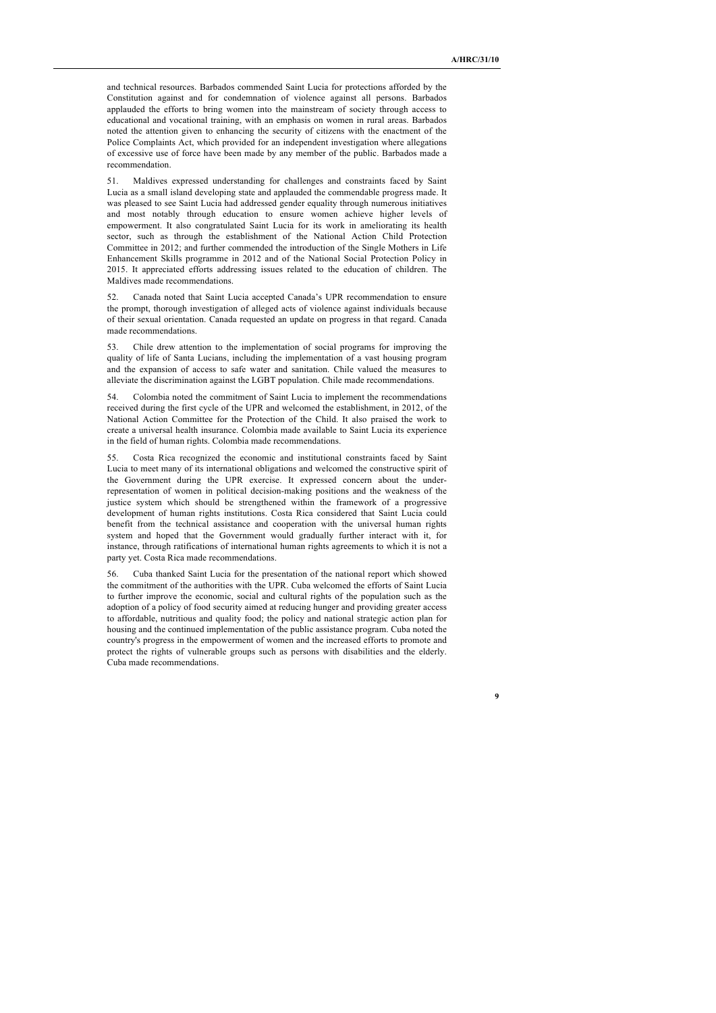and technical resources. Barbados commended Saint Lucia for protections afforded by the Constitution against and for condemnation of violence against all persons. Barbados applauded the efforts to bring women into the mainstream of society through access to educational and vocational training, with an emphasis on women in rural areas. Barbados noted the attention given to enhancing the security of citizens with the enactment of the Police Complaints Act, which provided for an independent investigation where allegations of excessive use of force have been made by any member of the public. Barbados made a recommendation.

51. Maldives expressed understanding for challenges and constraints faced by Saint Lucia as a small island developing state and applauded the commendable progress made. It was pleased to see Saint Lucia had addressed gender equality through numerous initiatives and most notably through education to ensure women achieve higher levels of empowerment. It also congratulated Saint Lucia for its work in ameliorating its health sector, such as through the establishment of the National Action Child Protection Committee in 2012; and further commended the introduction of the Single Mothers in Life Enhancement Skills programme in 2012 and of the National Social Protection Policy in 2015. It appreciated efforts addressing issues related to the education of children. The Maldives made recommendations.

52. Canada noted that Saint Lucia accepted Canada's UPR recommendation to ensure the prompt, thorough investigation of alleged acts of violence against individuals because of their sexual orientation. Canada requested an update on progress in that regard. Canada made recommendations.

53. Chile drew attention to the implementation of social programs for improving the quality of life of Santa Lucians, including the implementation of a vast housing program and the expansion of access to safe water and sanitation. Chile valued the measures to alleviate the discrimination against the LGBT population. Chile made recommendations.

54. Colombia noted the commitment of Saint Lucia to implement the recommendations received during the first cycle of the UPR and welcomed the establishment, in 2012, of the National Action Committee for the Protection of the Child. It also praised the work to create a universal health insurance. Colombia made available to Saint Lucia its experience in the field of human rights. Colombia made recommendations.

55. Costa Rica recognized the economic and institutional constraints faced by Saint Lucia to meet many of its international obligations and welcomed the constructive spirit of the Government during the UPR exercise. It expressed concern about the underrepresentation of women in political decision-making positions and the weakness of the justice system which should be strengthened within the framework of a progressive development of human rights institutions. Costa Rica considered that Saint Lucia could benefit from the technical assistance and cooperation with the universal human rights system and hoped that the Government would gradually further interact with it, for instance, through ratifications of international human rights agreements to which it is not a party yet. Costa Rica made recommendations.

56. Cuba thanked Saint Lucia for the presentation of the national report which showed the commitment of the authorities with the UPR. Cuba welcomed the efforts of Saint Lucia to further improve the economic, social and cultural rights of the population such as the adoption of a policy of food security aimed at reducing hunger and providing greater access to affordable, nutritious and quality food; the policy and national strategic action plan for housing and the continued implementation of the public assistance program. Cuba noted the country's progress in the empowerment of women and the increased efforts to promote and protect the rights of vulnerable groups such as persons with disabilities and the elderly. Cuba made recommendations.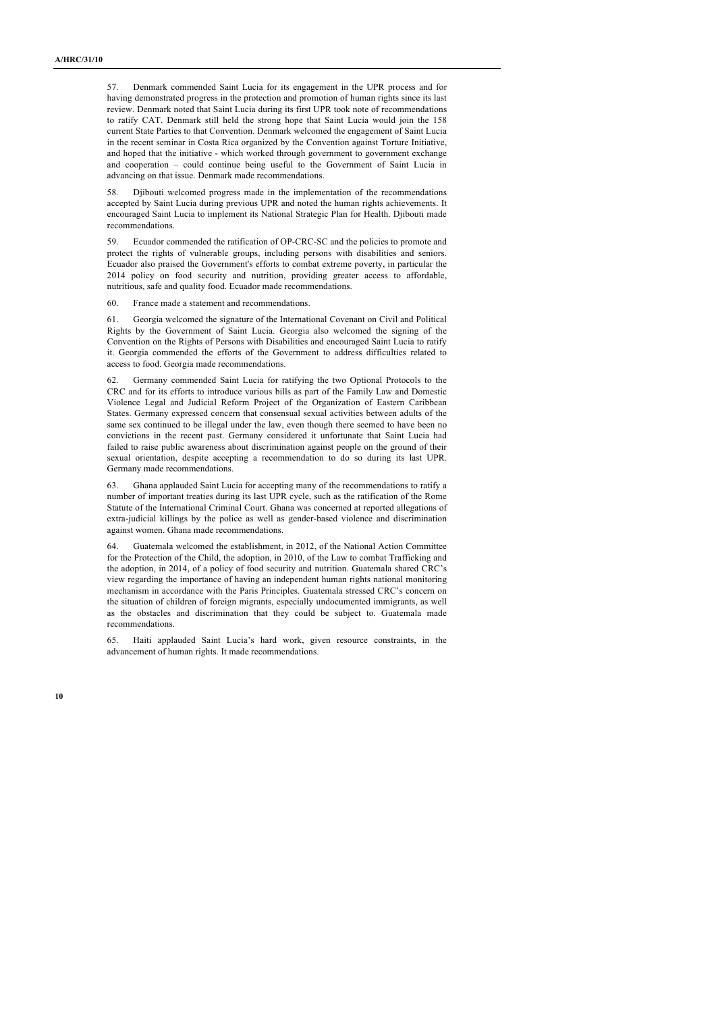57. Denmark commended Saint Lucia for its engagement in the UPR process and for having demonstrated progress in the protection and promotion of human rights since its last review. Denmark noted that Saint Lucia during its first UPR took note of recommendations to ratify CAT. Denmark still held the strong hope that Saint Lucia would join the 158 current State Parties to that Convention. Denmark welcomed the engagement of Saint Lucia in the recent seminar in Costa Rica organized by the Convention against Torture Initiative, and hoped that the initiative - which worked through government to government exchange and cooperation – could continue being useful to the Government of Saint Lucia in advancing on that issue. Denmark made recommendations.

58. Djibouti welcomed progress made in the implementation of the recommendations accepted by Saint Lucia during previous UPR and noted the human rights achievements. It encouraged Saint Lucia to implement its National Strategic Plan for Health. Djibouti made recommendations.

59. Ecuador commended the ratification of OP-CRC-SC and the policies to promote and protect the rights of vulnerable groups, including persons with disabilities and seniors. Ecuador also praised the Government's efforts to combat extreme poverty, in particular the 2014 policy on food security and nutrition, providing greater access to affordable, nutritious, safe and quality food. Ecuador made recommendations.

60. France made a statement and recommendations.

61. Georgia welcomed the signature of the International Covenant on Civil and Political Rights by the Government of Saint Lucia. Georgia also welcomed the signing of the Convention on the Rights of Persons with Disabilities and encouraged Saint Lucia to ratify it. Georgia commended the efforts of the Government to address difficulties related to access to food. Georgia made recommendations.

62. Germany commended Saint Lucia for ratifying the two Optional Protocols to the CRC and for its efforts to introduce various bills as part of the Family Law and Domestic Violence Legal and Judicial Reform Project of the Organization of Eastern Caribbean States. Germany expressed concern that consensual sexual activities between adults of the same sex continued to be illegal under the law, even though there seemed to have been no convictions in the recent past. Germany considered it unfortunate that Saint Lucia had failed to raise public awareness about discrimination against people on the ground of their sexual orientation, despite accepting a recommendation to do so during its last UPR. Germany made recommendations.

Ghana applauded Saint Lucia for accepting many of the recommendations to ratify a number of important treaties during its last UPR cycle, such as the ratification of the Rome Statute of the International Criminal Court. Ghana was concerned at reported allegations of extra-judicial killings by the police as well as gender-based violence and discrimination against women. Ghana made recommendations.

64. Guatemala welcomed the establishment, in 2012, of the National Action Committee for the Protection of the Child, the adoption, in 2010, of the Law to combat Trafficking and the adoption, in 2014, of a policy of food security and nutrition. Guatemala shared CRC's view regarding the importance of having an independent human rights national monitoring mechanism in accordance with the Paris Principles. Guatemala stressed CRC's concern on the situation of children of foreign migrants, especially undocumented immigrants, as well as the obstacles and discrimination that they could be subject to. Guatemala made recommendations.

65. Haiti applauded Saint Lucia's hard work, given resource constraints, in the advancement of human rights. It made recommendations.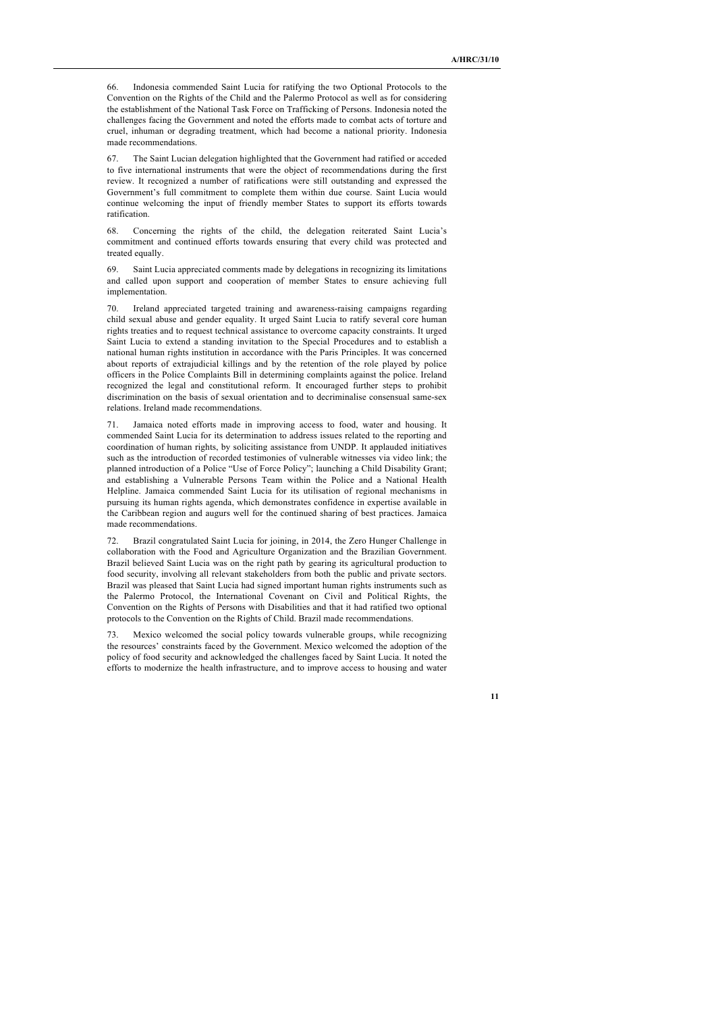Indonesia commended Saint Lucia for ratifying the two Optional Protocols to the Convention on the Rights of the Child and the Palermo Protocol as well as for considering the establishment of the National Task Force on Trafficking of Persons. Indonesia noted the challenges facing the Government and noted the efforts made to combat acts of torture and cruel, inhuman or degrading treatment, which had become a national priority. Indonesia made recommendations.

67. The Saint Lucian delegation highlighted that the Government had ratified or acceded to five international instruments that were the object of recommendations during the first review. It recognized a number of ratifications were still outstanding and expressed the Government's full commitment to complete them within due course. Saint Lucia would continue welcoming the input of friendly member States to support its efforts towards ratification.

68. Concerning the rights of the child, the delegation reiterated Saint Lucia's commitment and continued efforts towards ensuring that every child was protected and treated equally.

Saint Lucia appreciated comments made by delegations in recognizing its limitations and called upon support and cooperation of member States to ensure achieving full implementation.

70. Ireland appreciated targeted training and awareness-raising campaigns regarding child sexual abuse and gender equality. It urged Saint Lucia to ratify several core human rights treaties and to request technical assistance to overcome capacity constraints. It urged Saint Lucia to extend a standing invitation to the Special Procedures and to establish a national human rights institution in accordance with the Paris Principles. It was concerned about reports of extrajudicial killings and by the retention of the role played by police officers in the Police Complaints Bill in determining complaints against the police. Ireland recognized the legal and constitutional reform. It encouraged further steps to prohibit discrimination on the basis of sexual orientation and to decriminalise consensual same-sex relations. Ireland made recommendations.

Jamaica noted efforts made in improving access to food, water and housing. It commended Saint Lucia for its determination to address issues related to the reporting and coordination of human rights, by soliciting assistance from UNDP. It applauded initiatives such as the introduction of recorded testimonies of vulnerable witnesses via video link; the planned introduction of a Police "Use of Force Policy"; launching a Child Disability Grant; and establishing a Vulnerable Persons Team within the Police and a National Health Helpline. Jamaica commended Saint Lucia for its utilisation of regional mechanisms in pursuing its human rights agenda, which demonstrates confidence in expertise available in the Caribbean region and augurs well for the continued sharing of best practices. Jamaica made recommendations.

72. Brazil congratulated Saint Lucia for joining, in 2014, the Zero Hunger Challenge in collaboration with the Food and Agriculture Organization and the Brazilian Government. Brazil believed Saint Lucia was on the right path by gearing its agricultural production to food security, involving all relevant stakeholders from both the public and private sectors. Brazil was pleased that Saint Lucia had signed important human rights instruments such as the Palermo Protocol, the International Covenant on Civil and Political Rights, the Convention on the Rights of Persons with Disabilities and that it had ratified two optional protocols to the Convention on the Rights of Child. Brazil made recommendations.

73. Mexico welcomed the social policy towards vulnerable groups, while recognizing the resources' constraints faced by the Government. Mexico welcomed the adoption of the policy of food security and acknowledged the challenges faced by Saint Lucia. It noted the efforts to modernize the health infrastructure, and to improve access to housing and water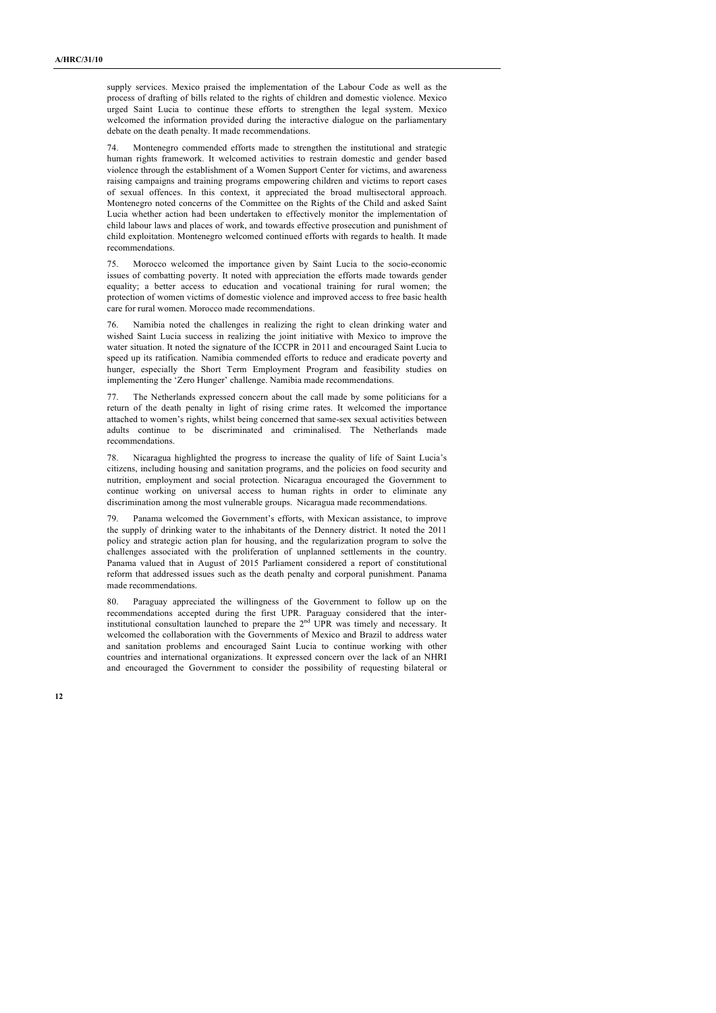supply services. Mexico praised the implementation of the Labour Code as well as the process of drafting of bills related to the rights of children and domestic violence. Mexico urged Saint Lucia to continue these efforts to strengthen the legal system. Mexico welcomed the information provided during the interactive dialogue on the parliamentary debate on the death penalty. It made recommendations.

Montenegro commended efforts made to strengthen the institutional and strategic human rights framework. It welcomed activities to restrain domestic and gender based violence through the establishment of a Women Support Center for victims, and awareness raising campaigns and training programs empowering children and victims to report cases of sexual offences. In this context, it appreciated the broad multisectoral approach. Montenegro noted concerns of the Committee on the Rights of the Child and asked Saint Lucia whether action had been undertaken to effectively monitor the implementation of child labour laws and places of work, and towards effective prosecution and punishment of child exploitation. Montenegro welcomed continued efforts with regards to health. It made recommendations.

75. Morocco welcomed the importance given by Saint Lucia to the socio-economic issues of combatting poverty. It noted with appreciation the efforts made towards gender equality; a better access to education and vocational training for rural women; the protection of women victims of domestic violence and improved access to free basic health care for rural women. Morocco made recommendations.

76. Namibia noted the challenges in realizing the right to clean drinking water and wished Saint Lucia success in realizing the joint initiative with Mexico to improve the water situation. It noted the signature of the ICCPR in 2011 and encouraged Saint Lucia to speed up its ratification. Namibia commended efforts to reduce and eradicate poverty and hunger, especially the Short Term Employment Program and feasibility studies on implementing the 'Zero Hunger' challenge. Namibia made recommendations.

77. The Netherlands expressed concern about the call made by some politicians for a return of the death penalty in light of rising crime rates. It welcomed the importance attached to women's rights, whilst being concerned that same-sex sexual activities between adults continue to be discriminated and criminalised. The Netherlands made recommendations.

78. Nicaragua highlighted the progress to increase the quality of life of Saint Lucia's citizens, including housing and sanitation programs, and the policies on food security and nutrition, employment and social protection. Nicaragua encouraged the Government to continue working on universal access to human rights in order to eliminate any discrimination among the most vulnerable groups. Nicaragua made recommendations.

79. Panama welcomed the Government's efforts, with Mexican assistance, to improve the supply of drinking water to the inhabitants of the Dennery district. It noted the 2011 policy and strategic action plan for housing, and the regularization program to solve the challenges associated with the proliferation of unplanned settlements in the country. Panama valued that in August of 2015 Parliament considered a report of constitutional reform that addressed issues such as the death penalty and corporal punishment. Panama made recommendations.

80. Paraguay appreciated the willingness of the Government to follow up on the recommendations accepted during the first UPR. Paraguay considered that the interinstitutional consultation launched to prepare the 2nd UPR was timely and necessary. It welcomed the collaboration with the Governments of Mexico and Brazil to address water and sanitation problems and encouraged Saint Lucia to continue working with other countries and international organizations. It expressed concern over the lack of an NHRI and encouraged the Government to consider the possibility of requesting bilateral or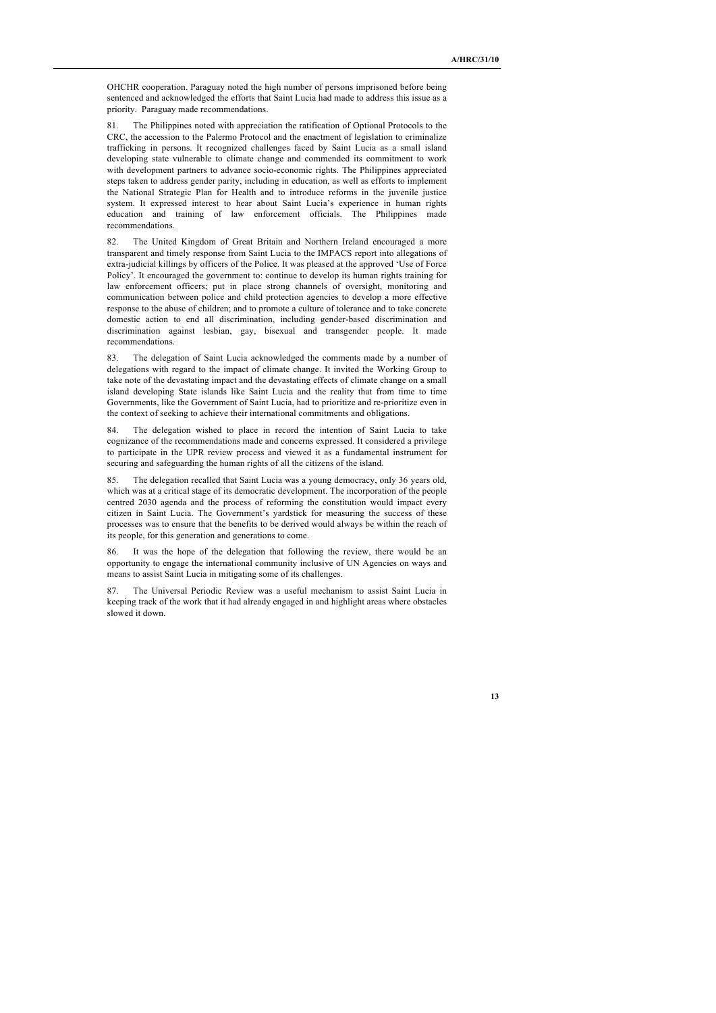OHCHR cooperation. Paraguay noted the high number of persons imprisoned before being sentenced and acknowledged the efforts that Saint Lucia had made to address this issue as a priority. Paraguay made recommendations.

81. The Philippines noted with appreciation the ratification of Optional Protocols to the CRC, the accession to the Palermo Protocol and the enactment of legislation to criminalize trafficking in persons. It recognized challenges faced by Saint Lucia as a small island developing state vulnerable to climate change and commended its commitment to work with development partners to advance socio-economic rights. The Philippines appreciated steps taken to address gender parity, including in education, as well as efforts to implement the National Strategic Plan for Health and to introduce reforms in the juvenile justice system. It expressed interest to hear about Saint Lucia's experience in human rights education and training of law enforcement officials. The Philippines made recommendations.

The United Kingdom of Great Britain and Northern Ireland encouraged a more transparent and timely response from Saint Lucia to the IMPACS report into allegations of extra-judicial killings by officers of the Police. It was pleased at the approved 'Use of Force Policy'. It encouraged the government to: continue to develop its human rights training for law enforcement officers; put in place strong channels of oversight, monitoring and communication between police and child protection agencies to develop a more effective response to the abuse of children; and to promote a culture of tolerance and to take concrete domestic action to end all discrimination, including gender-based discrimination and discrimination against lesbian, gay, bisexual and transgender people. It made recommendations.

83. The delegation of Saint Lucia acknowledged the comments made by a number of delegations with regard to the impact of climate change. It invited the Working Group to take note of the devastating impact and the devastating effects of climate change on a small island developing State islands like Saint Lucia and the reality that from time to time Governments, like the Government of Saint Lucia, had to prioritize and re-prioritize even in the context of seeking to achieve their international commitments and obligations.

84. The delegation wished to place in record the intention of Saint Lucia to take cognizance of the recommendations made and concerns expressed. It considered a privilege to participate in the UPR review process and viewed it as a fundamental instrument for securing and safeguarding the human rights of all the citizens of the island.

85. The delegation recalled that Saint Lucia was a young democracy, only 36 years old, which was at a critical stage of its democratic development. The incorporation of the people centred 2030 agenda and the process of reforming the constitution would impact every citizen in Saint Lucia. The Government's yardstick for measuring the success of these processes was to ensure that the benefits to be derived would always be within the reach of its people, for this generation and generations to come.

86. It was the hope of the delegation that following the review, there would be an opportunity to engage the international community inclusive of UN Agencies on ways and means to assist Saint Lucia in mitigating some of its challenges.

87. The Universal Periodic Review was a useful mechanism to assist Saint Lucia in keeping track of the work that it had already engaged in and highlight areas where obstacles slowed it down.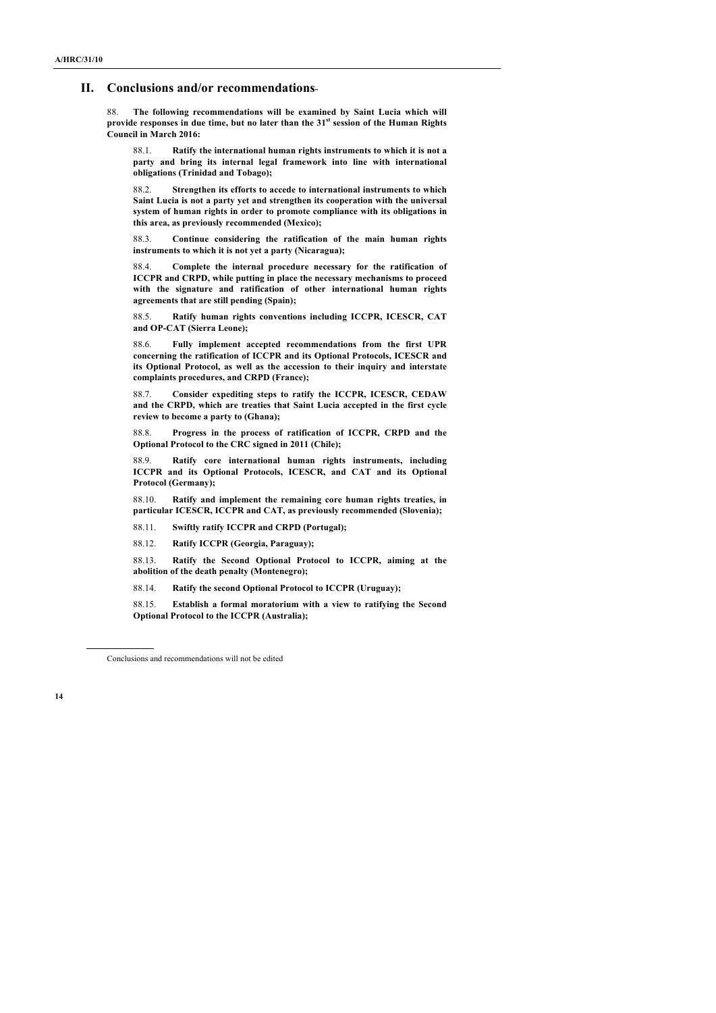#### **II. Conclusions and/or recommendations**∗∗

88. **The following recommendations will be examined by Saint Lucia which will provide responses in due time, but no later than the 31st session of the Human Rights Council in March 2016:**

88.1. **Ratify the international human rights instruments to which it is not a party and bring its internal legal framework into line with international obligations (Trinidad and Tobago);**

88.2. **Strengthen its efforts to accede to international instruments to which Saint Lucia is not a party yet and strengthen its cooperation with the universal system of human rights in order to promote compliance with its obligations in this area, as previously recommended (Mexico);**

88.3. **Continue considering the ratification of the main human rights instruments to which it is not yet a party (Nicaragua);**

88.4. **Complete the internal procedure necessary for the ratification of ICCPR and CRPD, while putting in place the necessary mechanisms to proceed with the signature and ratification of other international human rights agreements that are still pending (Spain);**

88.5. **Ratify human rights conventions including ICCPR, ICESCR, CAT and OP-CAT (Sierra Leone);**

88.6. **Fully implement accepted recommendations from the first UPR concerning the ratification of ICCPR and its Optional Protocols, ICESCR and its Optional Protocol, as well as the accession to their inquiry and interstate complaints procedures, and CRPD (France);**

88.7. **Consider expediting steps to ratify the ICCPR, ICESCR, CEDAW and the CRPD, which are treaties that Saint Lucia accepted in the first cycle review to become a party to (Ghana);**

88.8. **Progress in the process of ratification of ICCPR, CRPD and the Optional Protocol to the CRC signed in 2011 (Chile);**

88.9. **Ratify core international human rights instruments, including ICCPR and its Optional Protocols, ICESCR, and CAT and its Optional Protocol (Germany);**

88.10. **Ratify and implement the remaining core human rights treaties, in particular ICESCR, ICCPR and CAT, as previously recommended (Slovenia);**

88.11. **Swiftly ratify ICCPR and CRPD (Portugal);**

88.12. **Ratify ICCPR (Georgia, Paraguay);**

88.13. **Ratify the Second Optional Protocol to ICCPR, aiming at the abolition of the death penalty (Montenegro);**

88.14. **Ratify the second Optional Protocol to ICCPR (Uruguay);**

88.15. **Establish a formal moratorium with a view to ratifying the Second Optional Protocol to the ICCPR (Australia);**

Conclusions and recommendations will not be edited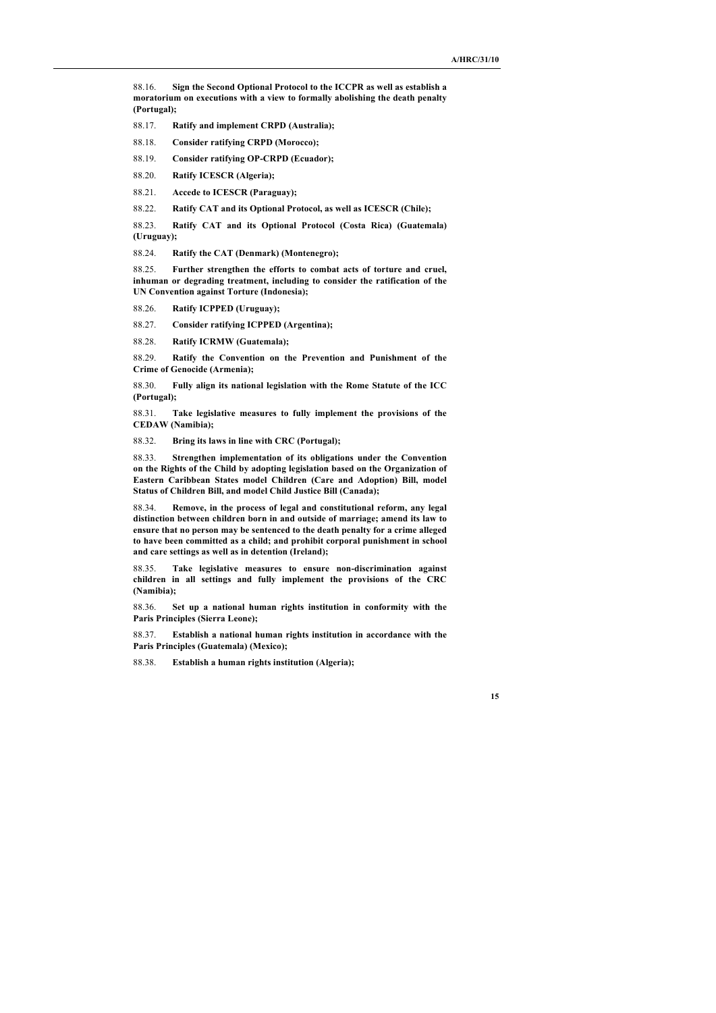88.16. **Sign the Second Optional Protocol to the ICCPR as well as establish a moratorium on executions with a view to formally abolishing the death penalty (Portugal);**

88.17. **Ratify and implement CRPD (Australia);**

88.18. **Consider ratifying CRPD (Morocco);**

88.19. **Consider ratifying OP-CRPD (Ecuador);**

88.20. **Ratify ICESCR (Algeria);**

88.21. **Accede to ICESCR (Paraguay);**

88.22. **Ratify CAT and its Optional Protocol, as well as ICESCR (Chile);**

88.23. **Ratify CAT and its Optional Protocol (Costa Rica) (Guatemala) (Uruguay);**

88.24. **Ratify the CAT (Denmark) (Montenegro);**

88.25. **Further strengthen the efforts to combat acts of torture and cruel, inhuman or degrading treatment, including to consider the ratification of the UN Convention against Torture (Indonesia);**

88.26. **Ratify ICPPED (Uruguay);**

88.27. **Consider ratifying ICPPED (Argentina);**

88.28. **Ratify ICRMW (Guatemala);**

88.29. **Ratify the Convention on the Prevention and Punishment of the Crime of Genocide (Armenia);**

88.30. **Fully align its national legislation with the Rome Statute of the ICC (Portugal);**

88.31. **Take legislative measures to fully implement the provisions of the CEDAW (Namibia);**

88.32. **Bring its laws in line with CRC (Portugal);**

88.33. **Strengthen implementation of its obligations under the Convention on the Rights of the Child by adopting legislation based on the Organization of Eastern Caribbean States model Children (Care and Adoption) Bill, model Status of Children Bill, and model Child Justice Bill (Canada);**

88.34. **Remove, in the process of legal and constitutional reform, any legal distinction between children born in and outside of marriage; amend its law to ensure that no person may be sentenced to the death penalty for a crime alleged to have been committed as a child; and prohibit corporal punishment in school and care settings as well as in detention (Ireland);**

88.35. **Take legislative measures to ensure non-discrimination against children in all settings and fully implement the provisions of the CRC (Namibia);**

88.36. **Set up a national human rights institution in conformity with the Paris Principles (Sierra Leone);**

88.37. **Establish a national human rights institution in accordance with the Paris Principles (Guatemala) (Mexico);**

88.38. **Establish a human rights institution (Algeria);**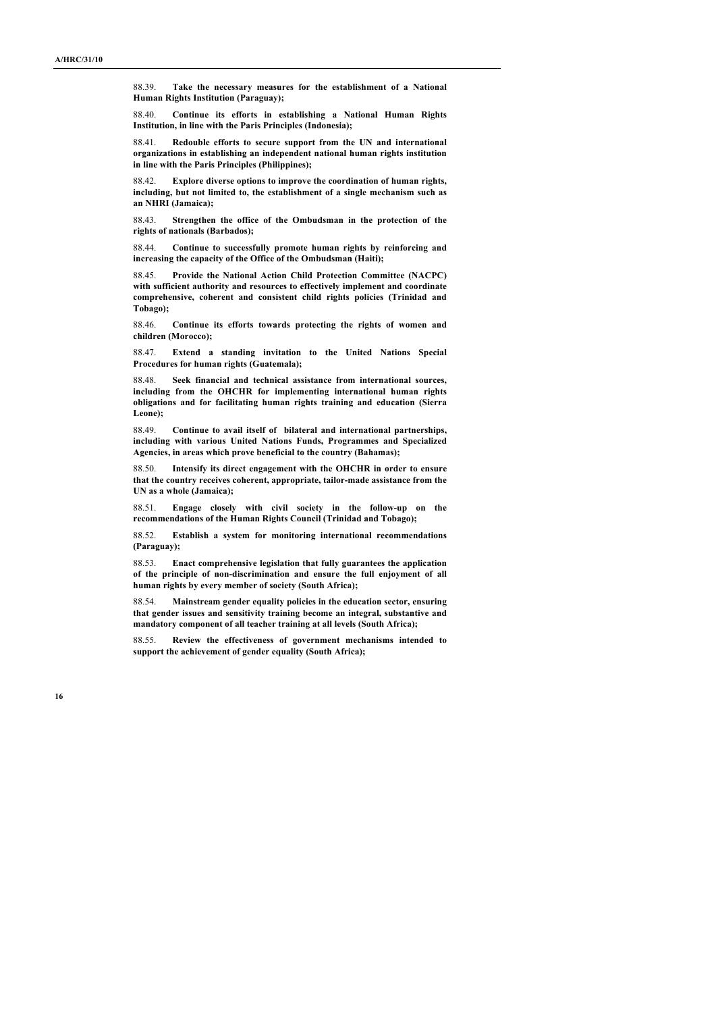88.39. **Take the necessary measures for the establishment of a National Human Rights Institution (Paraguay);**

88.40. **Continue its efforts in establishing a National Human Rights Institution, in line with the Paris Principles (Indonesia);**

88.41. **Redouble efforts to secure support from the UN and international organizations in establishing an independent national human rights institution in line with the Paris Principles (Philippines);**

88.42. **Explore diverse options to improve the coordination of human rights, including, but not limited to, the establishment of a single mechanism such as an NHRI (Jamaica);**

88.43. **Strengthen the office of the Ombudsman in the protection of the rights of nationals (Barbados);**

88.44. **Continue to successfully promote human rights by reinforcing and increasing the capacity of the Office of the Ombudsman (Haiti);**

88.45. **Provide the National Action Child Protection Committee (NACPC) with sufficient authority and resources to effectively implement and coordinate comprehensive, coherent and consistent child rights policies (Trinidad and Tobago);**

88.46. **Continue its efforts towards protecting the rights of women and children (Morocco);**

88.47. **Extend a standing invitation to the United Nations Special Procedures for human rights (Guatemala);**

88.48. **Seek financial and technical assistance from international sources, including from the OHCHR for implementing international human rights obligations and for facilitating human rights training and education (Sierra Leone);**

88.49. **Continue to avail itself of bilateral and international partnerships, including with various United Nations Funds, Programmes and Specialized Agencies, in areas which prove beneficial to the country (Bahamas);**

88.50. **Intensify its direct engagement with the OHCHR in order to ensure that the country receives coherent, appropriate, tailor-made assistance from the UN as a whole (Jamaica);**

88.51. **Engage closely with civil society in the follow-up on the recommendations of the Human Rights Council (Trinidad and Tobago);**

88.52. **Establish a system for monitoring international recommendations (Paraguay);**

88.53. **Enact comprehensive legislation that fully guarantees the application of the principle of non-discrimination and ensure the full enjoyment of all human rights by every member of society (South Africa);**

88.54. **Mainstream gender equality policies in the education sector, ensuring that gender issues and sensitivity training become an integral, substantive and mandatory component of all teacher training at all levels (South Africa);**

88.55. **Review the effectiveness of government mechanisms intended to support the achievement of gender equality (South Africa);**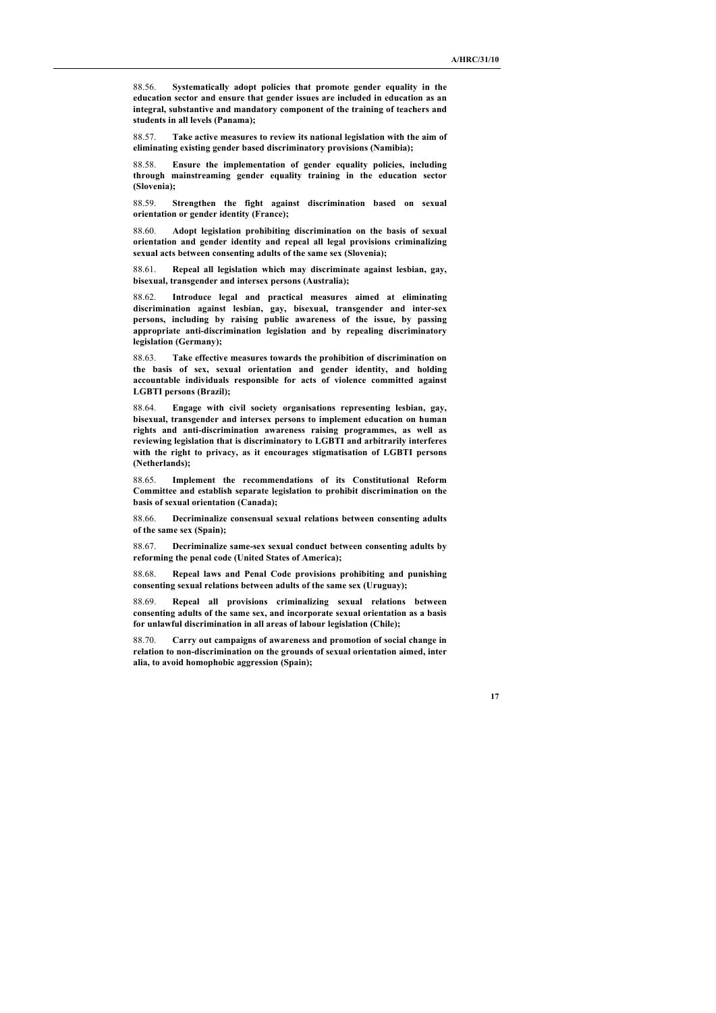88.56. **Systematically adopt policies that promote gender equality in the education sector and ensure that gender issues are included in education as an integral, substantive and mandatory component of the training of teachers and students in all levels (Panama);**

88.57. **Take active measures to review its national legislation with the aim of eliminating existing gender based discriminatory provisions (Namibia);**

88.58. **Ensure the implementation of gender equality policies, including through mainstreaming gender equality training in the education sector (Slovenia);**

88.59. **Strengthen the fight against discrimination based on sexual orientation or gender identity (France);**

88.60. **Adopt legislation prohibiting discrimination on the basis of sexual orientation and gender identity and repeal all legal provisions criminalizing sexual acts between consenting adults of the same sex (Slovenia);**

88.61. **Repeal all legislation which may discriminate against lesbian, gay, bisexual, transgender and intersex persons (Australia);**

88.62. **Introduce legal and practical measures aimed at eliminating discrimination against lesbian, gay, bisexual, transgender and inter-sex persons, including by raising public awareness of the issue, by passing appropriate anti-discrimination legislation and by repealing discriminatory legislation (Germany);**

88.63. **Take effective measures towards the prohibition of discrimination on the basis of sex, sexual orientation and gender identity, and holding accountable individuals responsible for acts of violence committed against LGBTI persons (Brazil);**

88.64. **Engage with civil society organisations representing lesbian, gay, bisexual, transgender and intersex persons to implement education on human rights and anti-discrimination awareness raising programmes, as well as reviewing legislation that is discriminatory to LGBTI and arbitrarily interferes with the right to privacy, as it encourages stigmatisation of LGBTI persons (Netherlands);**

88.65. **Implement the recommendations of its Constitutional Reform Committee and establish separate legislation to prohibit discrimination on the basis of sexual orientation (Canada);**

88.66. **Decriminalize consensual sexual relations between consenting adults of the same sex (Spain);**

88.67. **Decriminalize same-sex sexual conduct between consenting adults by reforming the penal code (United States of America);**

88.68. **Repeal laws and Penal Code provisions prohibiting and punishing consenting sexual relations between adults of the same sex (Uruguay);**

88.69. **Repeal all provisions criminalizing sexual relations between consenting adults of the same sex, and incorporate sexual orientation as a basis for unlawful discrimination in all areas of labour legislation (Chile);**

88.70. **Carry out campaigns of awareness and promotion of social change in relation to non-discrimination on the grounds of sexual orientation aimed, inter alia, to avoid homophobic aggression (Spain);**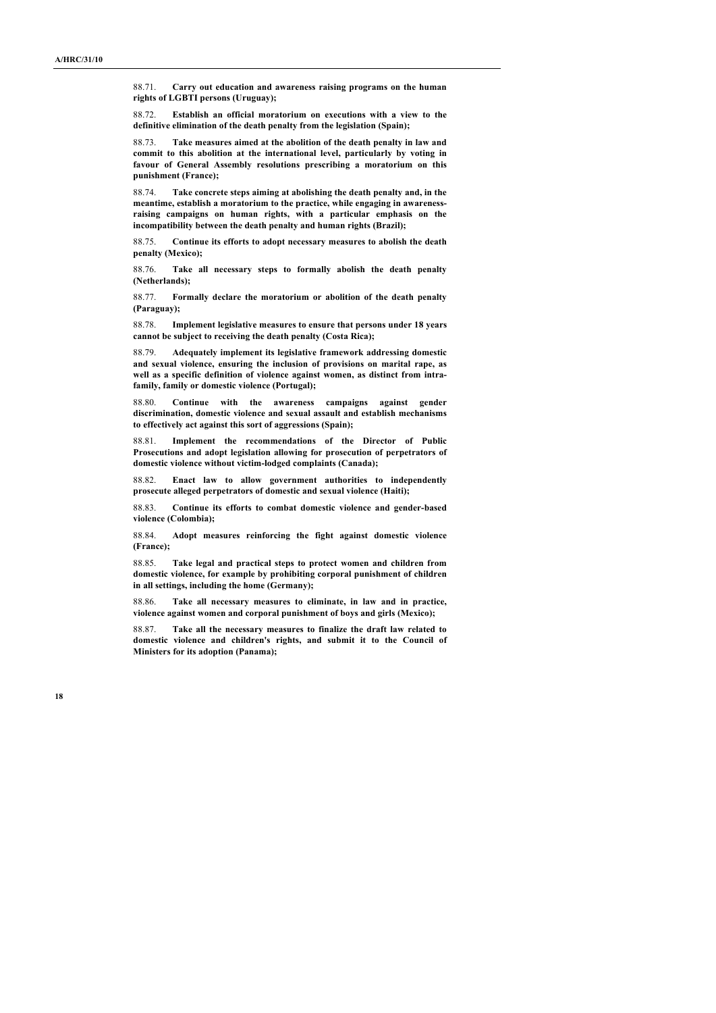88.71. **Carry out education and awareness raising programs on the human rights of LGBTI persons (Uruguay);**

88.72. **Establish an official moratorium on executions with a view to the definitive elimination of the death penalty from the legislation (Spain);**

88.73. **Take measures aimed at the abolition of the death penalty in law and commit to this abolition at the international level, particularly by voting in favour of General Assembly resolutions prescribing a moratorium on this punishment (France);**

88.74. **Take concrete steps aiming at abolishing the death penalty and, in the meantime, establish a moratorium to the practice, while engaging in awarenessraising campaigns on human rights, with a particular emphasis on the incompatibility between the death penalty and human rights (Brazil);**

88.75. **Continue its efforts to adopt necessary measures to abolish the death penalty (Mexico);**

88.76. **Take all necessary steps to formally abolish the death penalty (Netherlands);**

88.77. **Formally declare the moratorium or abolition of the death penalty (Paraguay);**

88.78. **Implement legislative measures to ensure that persons under 18 years cannot be subject to receiving the death penalty (Costa Rica);**

88.79. **Adequately implement its legislative framework addressing domestic and sexual violence, ensuring the inclusion of provisions on marital rape, as well as a specific definition of violence against women, as distinct from intrafamily, family or domestic violence (Portugal);**

88.80. **Continue with the awareness campaigns against gender discrimination, domestic violence and sexual assault and establish mechanisms to effectively act against this sort of aggressions (Spain);**

88.81. **Implement the recommendations of the Director of Public Prosecutions and adopt legislation allowing for prosecution of perpetrators of domestic violence without victim-lodged complaints (Canada);**

88.82. **Enact law to allow government authorities to independently prosecute alleged perpetrators of domestic and sexual violence (Haiti);**

88.83. **Continue its efforts to combat domestic violence and gender-based violence (Colombia);**

88.84. **Adopt measures reinforcing the fight against domestic violence (France);**

88.85. **Take legal and practical steps to protect women and children from domestic violence, for example by prohibiting corporal punishment of children in all settings, including the home (Germany);**

88.86. **Take all necessary measures to eliminate, in law and in practice, violence against women and corporal punishment of boys and girls (Mexico);**

88.87. **Take all the necessary measures to finalize the draft law related to domestic violence and children's rights, and submit it to the Council of Ministers for its adoption (Panama);**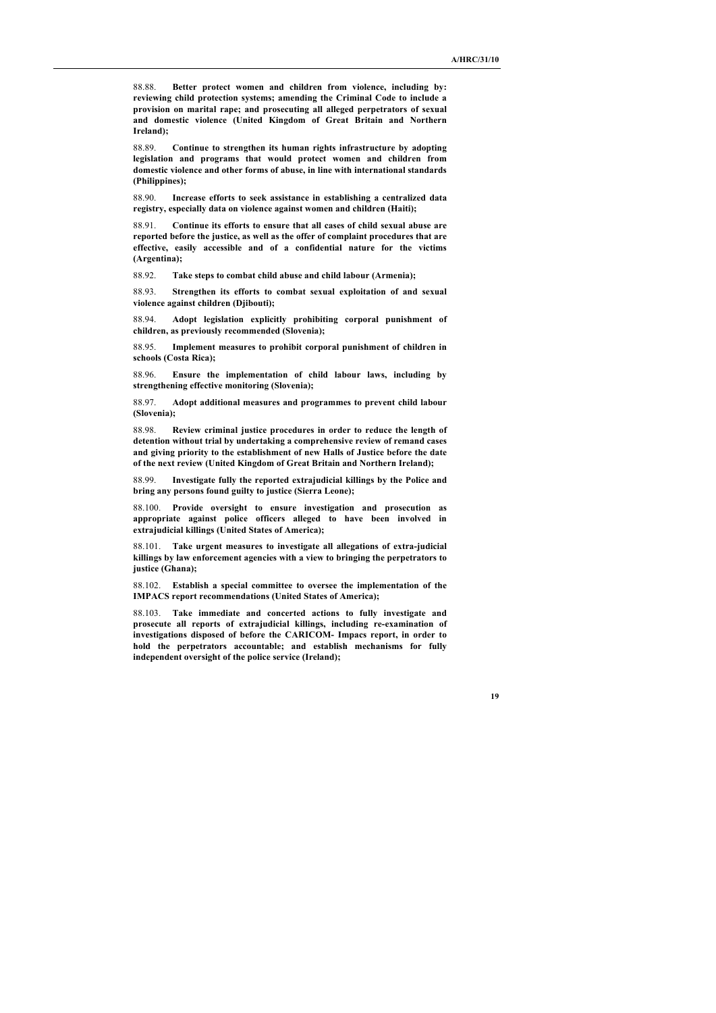88.88. **Better protect women and children from violence, including by: reviewing child protection systems; amending the Criminal Code to include a provision on marital rape; and prosecuting all alleged perpetrators of sexual and domestic violence (United Kingdom of Great Britain and Northern Ireland);**

88.89. **Continue to strengthen its human rights infrastructure by adopting legislation and programs that would protect women and children from domestic violence and other forms of abuse, in line with international standards (Philippines);**

88.90. **Increase efforts to seek assistance in establishing a centralized data registry, especially data on violence against women and children (Haiti);**

88.91. **Continue its efforts to ensure that all cases of child sexual abuse are reported before the justice, as well as the offer of complaint procedures that are effective, easily accessible and of a confidential nature for the victims (Argentina);**

88.92. **Take steps to combat child abuse and child labour (Armenia);**

88.93. **Strengthen its efforts to combat sexual exploitation of and sexual violence against children (Djibouti);**

88.94. **Adopt legislation explicitly prohibiting corporal punishment of children, as previously recommended (Slovenia);**

88.95. **Implement measures to prohibit corporal punishment of children in schools (Costa Rica);**

88.96. **Ensure the implementation of child labour laws, including by strengthening effective monitoring (Slovenia);**

88.97. **Adopt additional measures and programmes to prevent child labour (Slovenia);**

88.98. **Review criminal justice procedures in order to reduce the length of detention without trial by undertaking a comprehensive review of remand cases and giving priority to the establishment of new Halls of Justice before the date of the next review (United Kingdom of Great Britain and Northern Ireland);**

88.99. **Investigate fully the reported extrajudicial killings by the Police and bring any persons found guilty to justice (Sierra Leone);**

88.100. **Provide oversight to ensure investigation and prosecution as appropriate against police officers alleged to have been involved in extrajudicial killings (United States of America);**

88.101. **Take urgent measures to investigate all allegations of extra-judicial killings by law enforcement agencies with a view to bringing the perpetrators to justice (Ghana);**

88.102. **Establish a special committee to oversee the implementation of the IMPACS report recommendations (United States of America);**

88.103. **Take immediate and concerted actions to fully investigate and prosecute all reports of extrajudicial killings, including re-examination of investigations disposed of before the CARICOM- Impacs report, in order to hold the perpetrators accountable; and establish mechanisms for fully independent oversight of the police service (Ireland);**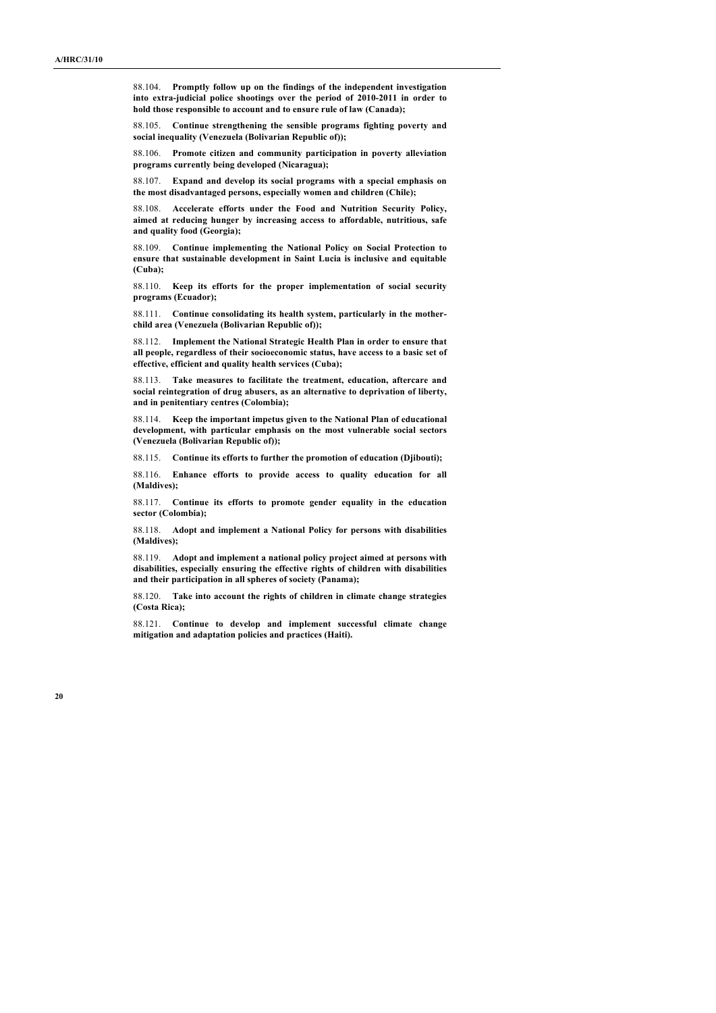88.104. **Promptly follow up on the findings of the independent investigation into extra-judicial police shootings over the period of 2010-2011 in order to hold those responsible to account and to ensure rule of law (Canada);**

88.105. **Continue strengthening the sensible programs fighting poverty and social inequality (Venezuela (Bolivarian Republic of));**

88.106. **Promote citizen and community participation in poverty alleviation programs currently being developed (Nicaragua);**

88.107. **Expand and develop its social programs with a special emphasis on the most disadvantaged persons, especially women and children (Chile);**

88.108. **Accelerate efforts under the Food and Nutrition Security Policy, aimed at reducing hunger by increasing access to affordable, nutritious, safe and quality food (Georgia);**

88.109. **Continue implementing the National Policy on Social Protection to ensure that sustainable development in Saint Lucia is inclusive and equitable (Cuba);**

88.110. **Keep its efforts for the proper implementation of social security programs (Ecuador);**

88.111. **Continue consolidating its health system, particularly in the motherchild area (Venezuela (Bolivarian Republic of));**

88.112. **Implement the National Strategic Health Plan in order to ensure that all people, regardless of their socioeconomic status, have access to a basic set of effective, efficient and quality health services (Cuba);**

88.113. **Take measures to facilitate the treatment, education, aftercare and social reintegration of drug abusers, as an alternative to deprivation of liberty, and in penitentiary centres (Colombia);**

88.114. **Keep the important impetus given to the National Plan of educational development, with particular emphasis on the most vulnerable social sectors (Venezuela (Bolivarian Republic of));**

88.115. **Continue its efforts to further the promotion of education (Djibouti);**

88.116. **Enhance efforts to provide access to quality education for all (Maldives);**

88.117. **Continue its efforts to promote gender equality in the education sector (Colombia);**

88.118. **Adopt and implement a National Policy for persons with disabilities (Maldives);**

88.119. **Adopt and implement a national policy project aimed at persons with disabilities, especially ensuring the effective rights of children with disabilities and their participation in all spheres of society (Panama);**

88.120. **Take into account the rights of children in climate change strategies (Costa Rica);**

88.121. **Continue to develop and implement successful climate change mitigation and adaptation policies and practices (Haiti).**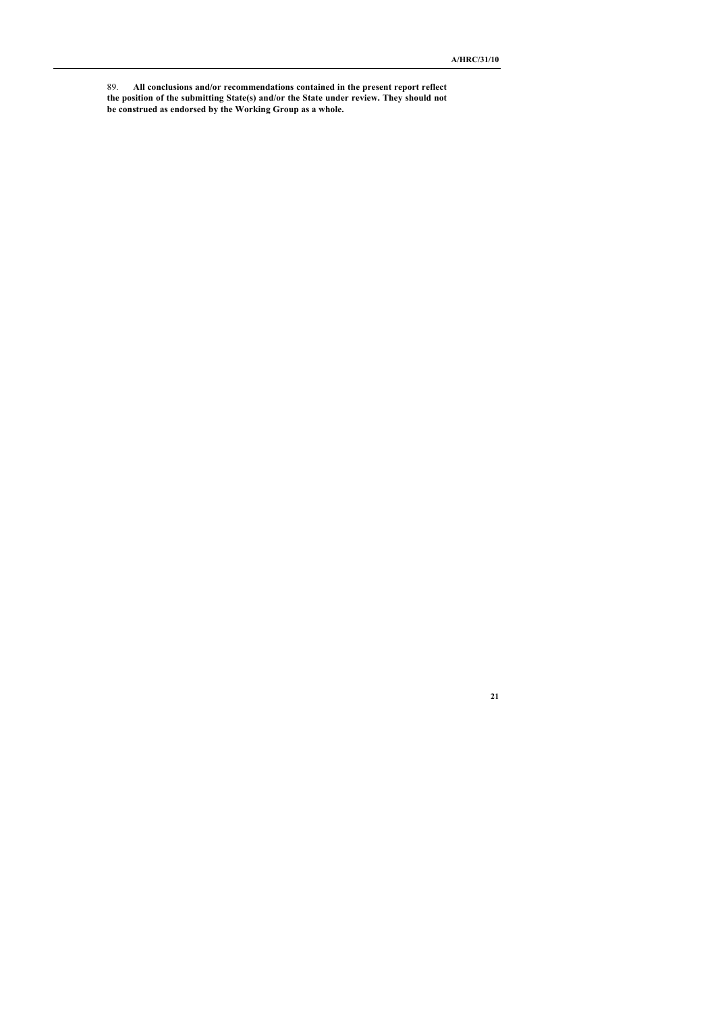89. **All conclusions and/or recommendations contained in the present report reflect the position of the submitting State(s) and/or the State under review. They should not be construed as endorsed by the Working Group as a whole.**